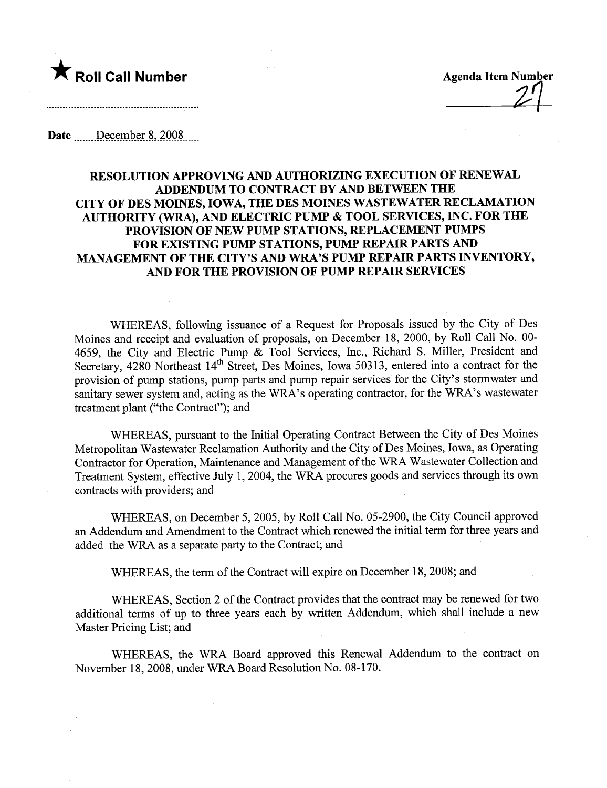

 $Z^{\prime}$ 

Date December 8, 2008

## RESOLUTION APPROVING AND AUTHORIZING EXECUTION OF RENEWAL ADDENDUM TO CONTRACT BY AND BETWEEN THE CITY OF DES MOINES, IOWA, THE DES MOINES WASTEWATER RECLAMATION AUTHORITY (WRA), AND ELECTRIC PUMP & TOOL SERVICES, INC. FOR THE PROVISION OF NEW PUMP STATIONS, REPLACEMENT PUMPS FOR EXISTING PUMP STATIONS, PUMP REPAIR PARTS AND MANAGEMENT OF THE CITY'S AND WRA'S PUMP REPAIR PARTS INVENTORY, AND FOR THE PROVISION OF PUMP REPAIR SERVICES

WHEREAS, following issuance of a Request for Proposals issued by the City of Des Moines and receipt and evaluation of proposals, on December 18, 2000, by Roll Call No. 00- 4659, the City and Electric Pump & Tool Services, Inc., Richard S. Miler, President and Secretary, 4280 Northeast 14<sup>th</sup> Street, Des Moines, Iowa 50313, entered into a contract for the provision of pump stations, pump pars and pump repair services for the City's stormwater and sanitary sewer system and, acting as the WRA's operating contractor, for the WRA's wastewater treatment plant ("the Contract"); and

WHEREAS, pursuant to the Initial Operating Contract Between the City of Des Moines Metropolitan Wastewater Reclamation Authority and the City of Des Moines, Iowa, as Operating Contractor for Operation, Maintenance and Management of the WRA Wastewater Collection and Treatment System, effective July 1, 2004, the WRA procures goods and services through its own contracts with providers; and

WHEREAS, on December 5, 2005, by Roll Call No. 05-2900, the City Council approved an Addendum and Amendment to the Contract which renewed the initial term for three years and added the WRA as a separate pary to the Contract; and

WHEREAS, the term of the Contract will expire on December 18, 2008; and

WHEREAS, Section 2 of the Contract provides that the contract may be renewed for two additional terms of up to three years each by written Addendum, which shall include a new Master Pricing List; and

WHEREAS, the WRA Board approved this Renewal Addendum to the contract on November 18, 2008, under WRA Board Resolution No. 08-170.